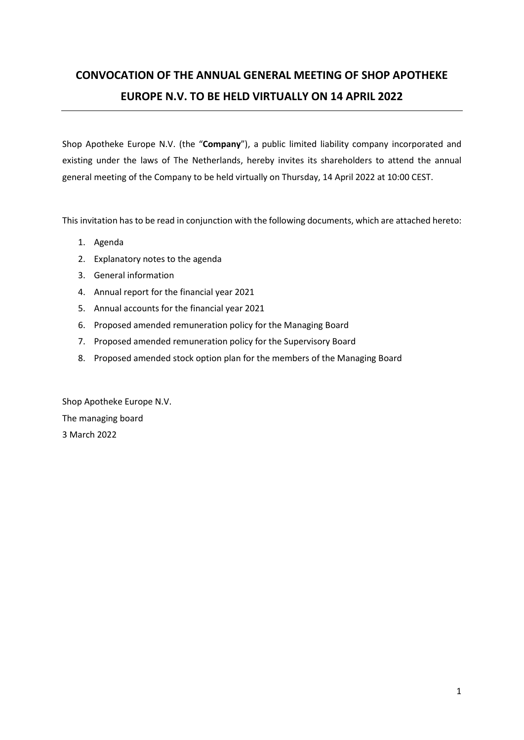# CONVOCATION OF THE ANNUAL GENERAL MEETING OF SHOP APOTHEKE EUROPE N.V. TO BE HELD VIRTUALLY ON 14 APRIL 2022

Shop Apotheke Europe N.V. (the "Company"), a public limited liability company incorporated and existing under the laws of The Netherlands, hereby invites its shareholders to attend the annual general meeting of the Company to be held virtually on Thursday, 14 April 2022 at 10:00 CEST.

This invitation has to be read in conjunction with the following documents, which are attached hereto:

- 1. Agenda
- 2. Explanatory notes to the agenda
- 3. General information
- 4. Annual report for the financial year 2021
- 5. Annual accounts for the financial year 2021
- 6. Proposed amended remuneration policy for the Managing Board
- 7. Proposed amended remuneration policy for the Supervisory Board
- 8. Proposed amended stock option plan for the members of the Managing Board

Shop Apotheke Europe N.V. The managing board 3 March 2022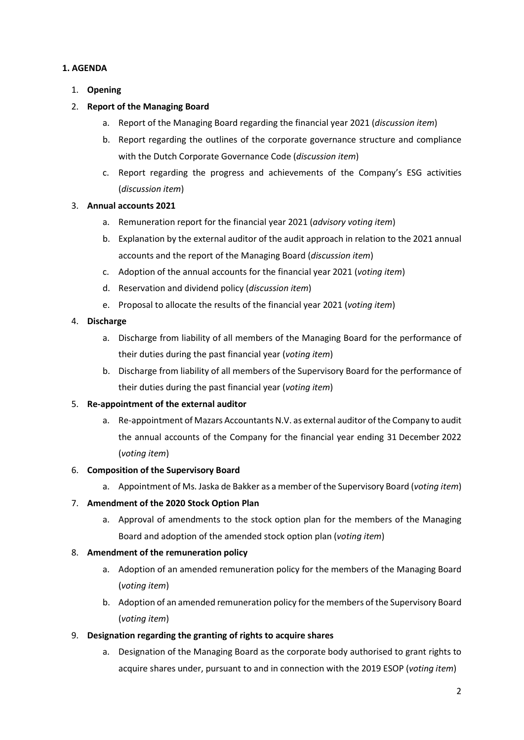### 1. AGENDA

1. Opening

## 2. Report of the Managing Board

- a. Report of the Managing Board regarding the financial year 2021 (discussion item)
- b. Report regarding the outlines of the corporate governance structure and compliance with the Dutch Corporate Governance Code (discussion item)
- c. Report regarding the progress and achievements of the Company's ESG activities (discussion item)

## 3. Annual accounts 2021

- a. Remuneration report for the financial year 2021 (advisory voting item)
- b. Explanation by the external auditor of the audit approach in relation to the 2021 annual accounts and the report of the Managing Board (discussion item)
- c. Adoption of the annual accounts for the financial year 2021 (voting item)
- d. Reservation and dividend policy (discussion item)
- e. Proposal to allocate the results of the financial year 2021 (voting item)

## 4. Discharge

- a. Discharge from liability of all members of the Managing Board for the performance of their duties during the past financial year (voting item)
- b. Discharge from liability of all members of the Supervisory Board for the performance of their duties during the past financial year (voting item)

### 5. Re-appointment of the external auditor

a. Re-appointment of Mazars Accountants N.V. as external auditor of the Company to audit the annual accounts of the Company for the financial year ending 31 December 2022 (voting item)

### 6. Composition of the Supervisory Board

a. Appointment of Ms. Jaska de Bakker as a member of the Supervisory Board (voting item)

### 7. Amendment of the 2020 Stock Option Plan

a. Approval of amendments to the stock option plan for the members of the Managing Board and adoption of the amended stock option plan (voting item)

### 8. Amendment of the remuneration policy

- a. Adoption of an amended remuneration policy for the members of the Managing Board (voting item)
- b. Adoption of an amended remuneration policy for the members of the Supervisory Board (voting item)

## 9. Designation regarding the granting of rights to acquire shares

a. Designation of the Managing Board as the corporate body authorised to grant rights to acquire shares under, pursuant to and in connection with the 2019 ESOP (voting item)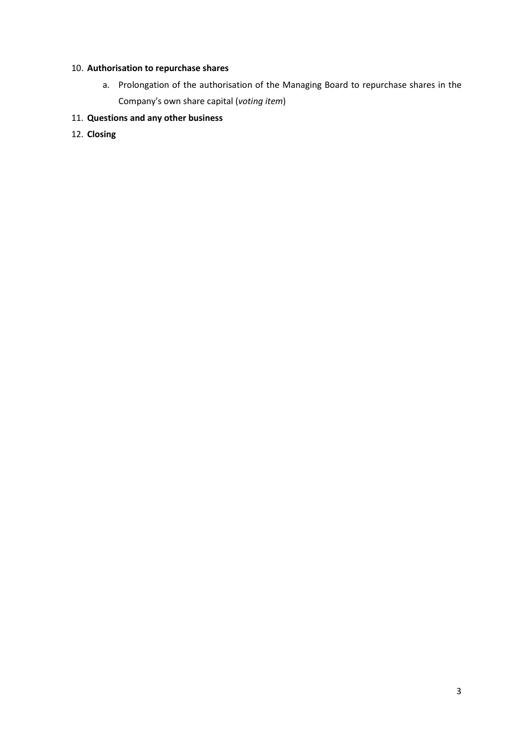## 10. Authorisation to repurchase shares

a. Prolongation of the authorisation of the Managing Board to repurchase shares in the Company's own share capital (voting item)

## 11. Questions and any other business

12. Closing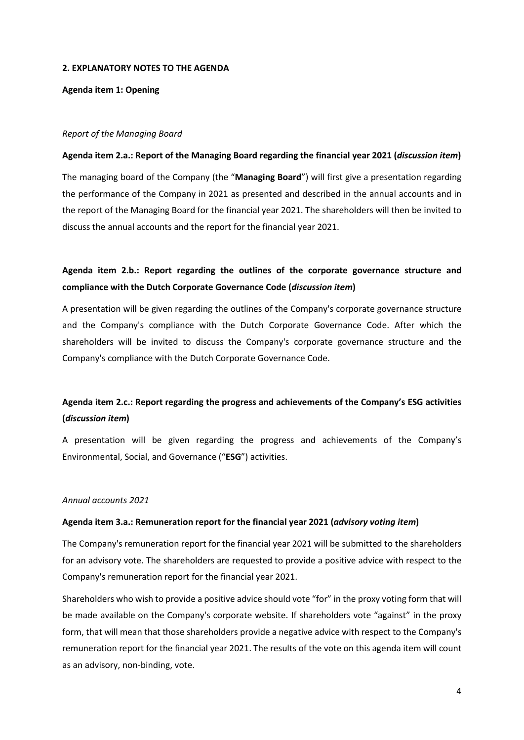#### 2. EXPLANATORY NOTES TO THE AGENDA

Agenda item 1: Opening

#### Report of the Managing Board

#### Agenda item 2.a.: Report of the Managing Board regarding the financial year 2021 (discussion item)

The managing board of the Company (the "Managing Board") will first give a presentation regarding the performance of the Company in 2021 as presented and described in the annual accounts and in the report of the Managing Board for the financial year 2021. The shareholders will then be invited to discuss the annual accounts and the report for the financial year 2021.

## Agenda item 2.b.: Report regarding the outlines of the corporate governance structure and compliance with the Dutch Corporate Governance Code (discussion item)

A presentation will be given regarding the outlines of the Company's corporate governance structure and the Company's compliance with the Dutch Corporate Governance Code. After which the shareholders will be invited to discuss the Company's corporate governance structure and the Company's compliance with the Dutch Corporate Governance Code.

## Agenda item 2.c.: Report regarding the progress and achievements of the Company's ESG activities (discussion item)

A presentation will be given regarding the progress and achievements of the Company's Environmental, Social, and Governance ("ESG") activities.

#### Annual accounts 2021

#### Agenda item 3.a.: Remuneration report for the financial year 2021 (advisory voting item)

The Company's remuneration report for the financial year 2021 will be submitted to the shareholders for an advisory vote. The shareholders are requested to provide a positive advice with respect to the Company's remuneration report for the financial year 2021.

Shareholders who wish to provide a positive advice should vote "for" in the proxy voting form that will be made available on the Company's corporate website. If shareholders vote "against" in the proxy form, that will mean that those shareholders provide a negative advice with respect to the Company's remuneration report for the financial year 2021. The results of the vote on this agenda item will count as an advisory, non-binding, vote.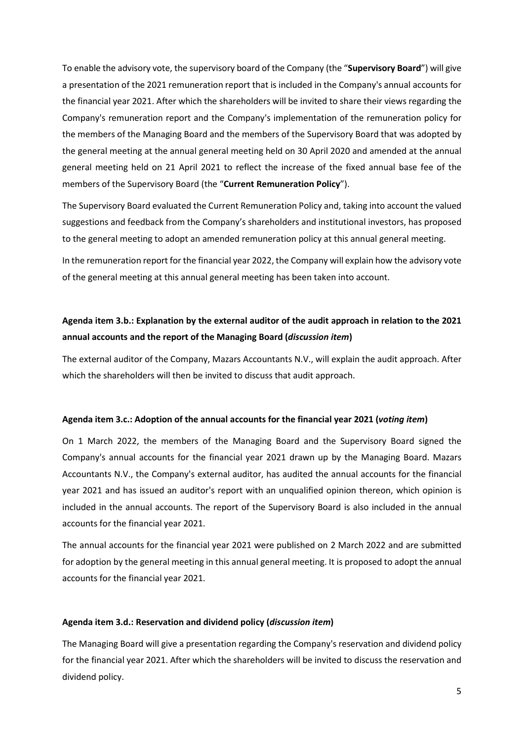To enable the advisory vote, the supervisory board of the Company (the "Supervisory Board") will give a presentation of the 2021 remuneration report that is included in the Company's annual accounts for the financial year 2021. After which the shareholders will be invited to share their views regarding the Company's remuneration report and the Company's implementation of the remuneration policy for the members of the Managing Board and the members of the Supervisory Board that was adopted by the general meeting at the annual general meeting held on 30 April 2020 and amended at the annual general meeting held on 21 April 2021 to reflect the increase of the fixed annual base fee of the members of the Supervisory Board (the "Current Remuneration Policy").

The Supervisory Board evaluated the Current Remuneration Policy and, taking into account the valued suggestions and feedback from the Company's shareholders and institutional investors, has proposed to the general meeting to adopt an amended remuneration policy at this annual general meeting.

In the remuneration report for the financial year 2022, the Company will explain how the advisory vote of the general meeting at this annual general meeting has been taken into account.

## Agenda item 3.b.: Explanation by the external auditor of the audit approach in relation to the 2021 annual accounts and the report of the Managing Board (discussion item)

The external auditor of the Company, Mazars Accountants N.V., will explain the audit approach. After which the shareholders will then be invited to discuss that audit approach.

#### Agenda item 3.c.: Adoption of the annual accounts for the financial year 2021 (voting item)

On 1 March 2022, the members of the Managing Board and the Supervisory Board signed the Company's annual accounts for the financial year 2021 drawn up by the Managing Board. Mazars Accountants N.V., the Company's external auditor, has audited the annual accounts for the financial year 2021 and has issued an auditor's report with an unqualified opinion thereon, which opinion is included in the annual accounts. The report of the Supervisory Board is also included in the annual accounts for the financial year 2021.

The annual accounts for the financial year 2021 were published on 2 March 2022 and are submitted for adoption by the general meeting in this annual general meeting. It is proposed to adopt the annual accounts for the financial year 2021.

#### Agenda item 3.d.: Reservation and dividend policy (discussion item)

The Managing Board will give a presentation regarding the Company's reservation and dividend policy for the financial year 2021. After which the shareholders will be invited to discuss the reservation and dividend policy.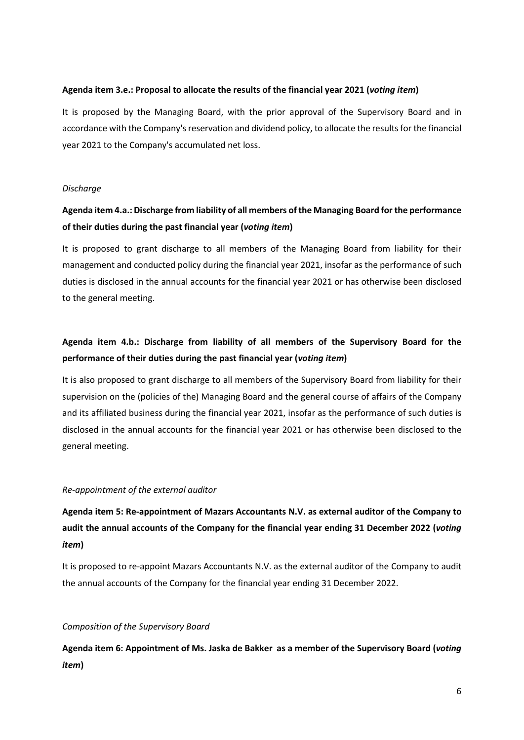### Agenda item 3.e.: Proposal to allocate the results of the financial year 2021 (voting item)

It is proposed by the Managing Board, with the prior approval of the Supervisory Board and in accordance with the Company's reservation and dividend policy, to allocate the results for the financial year 2021 to the Company's accumulated net loss.

#### **Discharge**

## Agenda item 4.a.: Discharge from liability of all members of the Managing Board for the performance of their duties during the past financial year (voting item)

It is proposed to grant discharge to all members of the Managing Board from liability for their management and conducted policy during the financial year 2021, insofar as the performance of such duties is disclosed in the annual accounts for the financial year 2021 or has otherwise been disclosed to the general meeting.

## Agenda item 4.b.: Discharge from liability of all members of the Supervisory Board for the performance of their duties during the past financial year (voting item)

It is also proposed to grant discharge to all members of the Supervisory Board from liability for their supervision on the (policies of the) Managing Board and the general course of affairs of the Company and its affiliated business during the financial year 2021, insofar as the performance of such duties is disclosed in the annual accounts for the financial year 2021 or has otherwise been disclosed to the general meeting.

#### Re-appointment of the external auditor

Agenda item 5: Re-appointment of Mazars Accountants N.V. as external auditor of the Company to audit the annual accounts of the Company for the financial year ending 31 December 2022 (voting item)

It is proposed to re-appoint Mazars Accountants N.V. as the external auditor of the Company to audit the annual accounts of the Company for the financial year ending 31 December 2022.

#### Composition of the Supervisory Board

Agenda item 6: Appointment of Ms. Jaska de Bakker as a member of the Supervisory Board (voting item)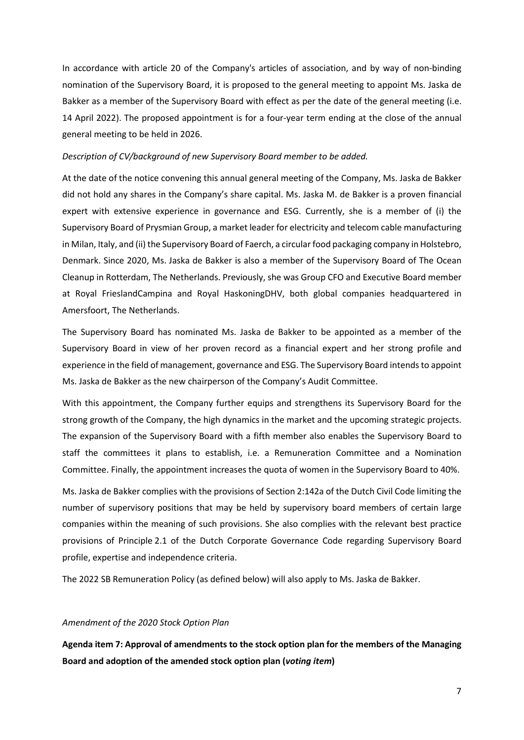In accordance with article 20 of the Company's articles of association, and by way of non-binding nomination of the Supervisory Board, it is proposed to the general meeting to appoint Ms. Jaska de Bakker as a member of the Supervisory Board with effect as per the date of the general meeting (i.e. 14 April 2022). The proposed appointment is for a four-year term ending at the close of the annual general meeting to be held in 2026.

#### Description of CV/background of new Supervisory Board member to be added.

At the date of the notice convening this annual general meeting of the Company, Ms. Jaska de Bakker did not hold any shares in the Company's share capital. Ms. Jaska M. de Bakker is a proven financial expert with extensive experience in governance and ESG. Currently, she is a member of (i) the Supervisory Board of Prysmian Group, a market leader for electricity and telecom cable manufacturing in Milan, Italy, and (ii) the Supervisory Board of Faerch, a circular food packaging company in Holstebro, Denmark. Since 2020, Ms. Jaska de Bakker is also a member of the Supervisory Board of The Ocean Cleanup in Rotterdam, The Netherlands. Previously, she was Group CFO and Executive Board member at Royal FrieslandCampina and Royal HaskoningDHV, both global companies headquartered in Amersfoort, The Netherlands.

The Supervisory Board has nominated Ms. Jaska de Bakker to be appointed as a member of the Supervisory Board in view of her proven record as a financial expert and her strong profile and experience in the field of management, governance and ESG. The Supervisory Board intends to appoint Ms. Jaska de Bakker as the new chairperson of the Company's Audit Committee.

With this appointment, the Company further equips and strengthens its Supervisory Board for the strong growth of the Company, the high dynamics in the market and the upcoming strategic projects. The expansion of the Supervisory Board with a fifth member also enables the Supervisory Board to staff the committees it plans to establish, i.e. a Remuneration Committee and a Nomination Committee. Finally, the appointment increases the quota of women in the Supervisory Board to 40%.

Ms. Jaska de Bakker complies with the provisions of Section 2:142a of the Dutch Civil Code limiting the number of supervisory positions that may be held by supervisory board members of certain large companies within the meaning of such provisions. She also complies with the relevant best practice provisions of Principle 2.1 of the Dutch Corporate Governance Code regarding Supervisory Board profile, expertise and independence criteria.

The 2022 SB Remuneration Policy (as defined below) will also apply to Ms. Jaska de Bakker.

#### Amendment of the 2020 Stock Option Plan

Agenda item 7: Approval of amendments to the stock option plan for the members of the Managing Board and adoption of the amended stock option plan (voting item)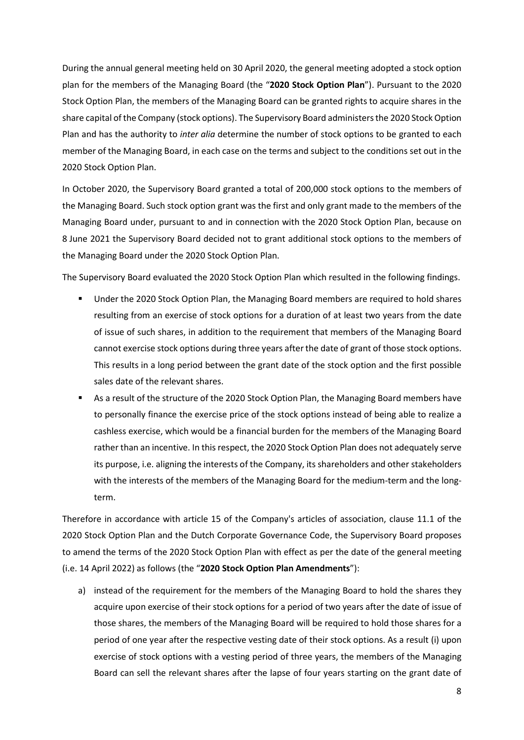During the annual general meeting held on 30 April 2020, the general meeting adopted a stock option plan for the members of the Managing Board (the "2020 Stock Option Plan"). Pursuant to the 2020 Stock Option Plan, the members of the Managing Board can be granted rights to acquire shares in the share capital of the Company (stock options). The Supervisory Board administers the 2020 Stock Option Plan and has the authority to inter alia determine the number of stock options to be granted to each member of the Managing Board, in each case on the terms and subject to the conditions set out in the 2020 Stock Option Plan.

In October 2020, the Supervisory Board granted a total of 200,000 stock options to the members of the Managing Board. Such stock option grant was the first and only grant made to the members of the Managing Board under, pursuant to and in connection with the 2020 Stock Option Plan, because on 8 June 2021 the Supervisory Board decided not to grant additional stock options to the members of the Managing Board under the 2020 Stock Option Plan.

The Supervisory Board evaluated the 2020 Stock Option Plan which resulted in the following findings.

- Under the 2020 Stock Option Plan, the Managing Board members are required to hold shares resulting from an exercise of stock options for a duration of at least two years from the date of issue of such shares, in addition to the requirement that members of the Managing Board cannot exercise stock options during three years after the date of grant of those stock options. This results in a long period between the grant date of the stock option and the first possible sales date of the relevant shares.
- As a result of the structure of the 2020 Stock Option Plan, the Managing Board members have to personally finance the exercise price of the stock options instead of being able to realize a cashless exercise, which would be a financial burden for the members of the Managing Board rather than an incentive. In this respect, the 2020 Stock Option Plan does not adequately serve its purpose, i.e. aligning the interests of the Company, its shareholders and other stakeholders with the interests of the members of the Managing Board for the medium-term and the longterm.

Therefore in accordance with article 15 of the Company's articles of association, clause 11.1 of the 2020 Stock Option Plan and the Dutch Corporate Governance Code, the Supervisory Board proposes to amend the terms of the 2020 Stock Option Plan with effect as per the date of the general meeting (i.e. 14 April 2022) as follows (the "2020 Stock Option Plan Amendments"):

a) instead of the requirement for the members of the Managing Board to hold the shares they acquire upon exercise of their stock options for a period of two years after the date of issue of those shares, the members of the Managing Board will be required to hold those shares for a period of one year after the respective vesting date of their stock options. As a result (i) upon exercise of stock options with a vesting period of three years, the members of the Managing Board can sell the relevant shares after the lapse of four years starting on the grant date of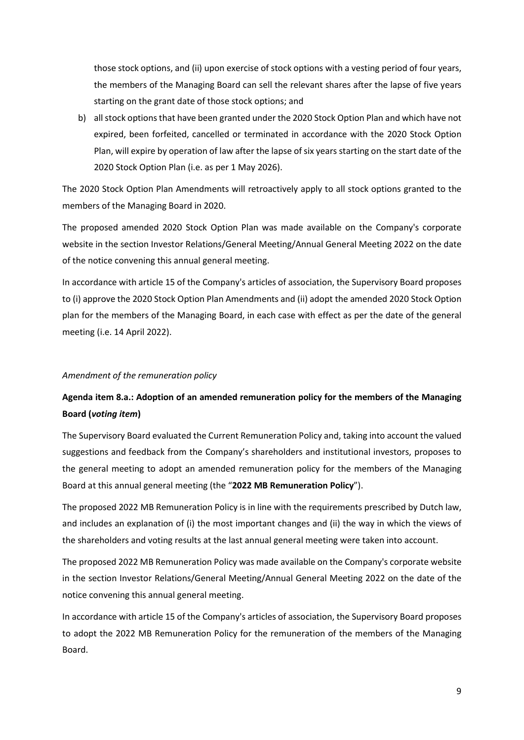those stock options, and (ii) upon exercise of stock options with a vesting period of four years, the members of the Managing Board can sell the relevant shares after the lapse of five years starting on the grant date of those stock options; and

b) all stock options that have been granted under the 2020 Stock Option Plan and which have not expired, been forfeited, cancelled or terminated in accordance with the 2020 Stock Option Plan, will expire by operation of law after the lapse of six years starting on the start date of the 2020 Stock Option Plan (i.e. as per 1 May 2026).

The 2020 Stock Option Plan Amendments will retroactively apply to all stock options granted to the members of the Managing Board in 2020.

The proposed amended 2020 Stock Option Plan was made available on the Company's corporate website in the section Investor Relations/General Meeting/Annual General Meeting 2022 on the date of the notice convening this annual general meeting.

In accordance with article 15 of the Company's articles of association, the Supervisory Board proposes to (i) approve the 2020 Stock Option Plan Amendments and (ii) adopt the amended 2020 Stock Option plan for the members of the Managing Board, in each case with effect as per the date of the general meeting (i.e. 14 April 2022).

### Amendment of the remuneration policy

## Agenda item 8.a.: Adoption of an amended remuneration policy for the members of the Managing Board (voting item)

The Supervisory Board evaluated the Current Remuneration Policy and, taking into account the valued suggestions and feedback from the Company's shareholders and institutional investors, proposes to the general meeting to adopt an amended remuneration policy for the members of the Managing Board at this annual general meeting (the "2022 MB Remuneration Policy").

The proposed 2022 MB Remuneration Policy is in line with the requirements prescribed by Dutch law, and includes an explanation of (i) the most important changes and (ii) the way in which the views of the shareholders and voting results at the last annual general meeting were taken into account.

The proposed 2022 MB Remuneration Policy was made available on the Company's corporate website in the section Investor Relations/General Meeting/Annual General Meeting 2022 on the date of the notice convening this annual general meeting.

In accordance with article 15 of the Company's articles of association, the Supervisory Board proposes to adopt the 2022 MB Remuneration Policy for the remuneration of the members of the Managing Board.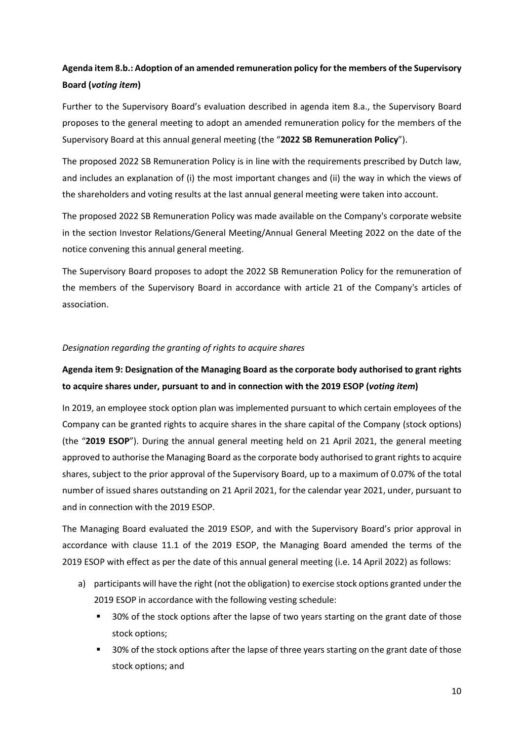## Agenda item 8.b.: Adoption of an amended remuneration policy for the members of the Supervisory Board (voting item)

Further to the Supervisory Board's evaluation described in agenda item 8.a., the Supervisory Board proposes to the general meeting to adopt an amended remuneration policy for the members of the Supervisory Board at this annual general meeting (the "2022 SB Remuneration Policy").

The proposed 2022 SB Remuneration Policy is in line with the requirements prescribed by Dutch law, and includes an explanation of (i) the most important changes and (ii) the way in which the views of the shareholders and voting results at the last annual general meeting were taken into account.

The proposed 2022 SB Remuneration Policy was made available on the Company's corporate website in the section Investor Relations/General Meeting/Annual General Meeting 2022 on the date of the notice convening this annual general meeting.

The Supervisory Board proposes to adopt the 2022 SB Remuneration Policy for the remuneration of the members of the Supervisory Board in accordance with article 21 of the Company's articles of association.

### Designation regarding the granting of rights to acquire shares

## Agenda item 9: Designation of the Managing Board as the corporate body authorised to grant rights to acquire shares under, pursuant to and in connection with the 2019 ESOP (voting item)

In 2019, an employee stock option plan was implemented pursuant to which certain employees of the Company can be granted rights to acquire shares in the share capital of the Company (stock options) (the "2019 ESOP"). During the annual general meeting held on 21 April 2021, the general meeting approved to authorise the Managing Board as the corporate body authorised to grant rights to acquire shares, subject to the prior approval of the Supervisory Board, up to a maximum of 0.07% of the total number of issued shares outstanding on 21 April 2021, for the calendar year 2021, under, pursuant to and in connection with the 2019 ESOP.

The Managing Board evaluated the 2019 ESOP, and with the Supervisory Board's prior approval in accordance with clause 11.1 of the 2019 ESOP, the Managing Board amended the terms of the 2019 ESOP with effect as per the date of this annual general meeting (i.e. 14 April 2022) as follows:

- a) participants will have the right (not the obligation) to exercise stock options granted under the 2019 ESOP in accordance with the following vesting schedule:
	- 30% of the stock options after the lapse of two years starting on the grant date of those stock options;
	- 30% of the stock options after the lapse of three years starting on the grant date of those stock options; and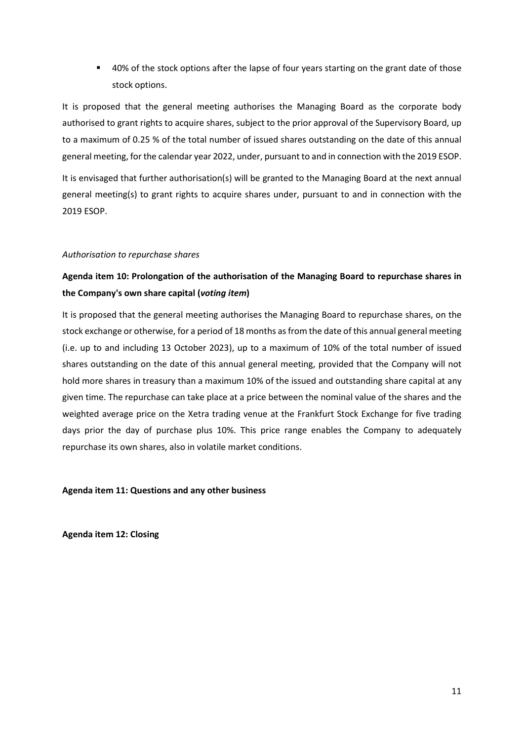■ 40% of the stock options after the lapse of four years starting on the grant date of those stock options.

It is proposed that the general meeting authorises the Managing Board as the corporate body authorised to grant rights to acquire shares, subject to the prior approval of the Supervisory Board, up to a maximum of 0.25 % of the total number of issued shares outstanding on the date of this annual general meeting, for the calendar year 2022, under, pursuant to and in connection with the 2019 ESOP.

It is envisaged that further authorisation(s) will be granted to the Managing Board at the next annual general meeting(s) to grant rights to acquire shares under, pursuant to and in connection with the 2019 ESOP.

### Authorisation to repurchase shares

## Agenda item 10: Prolongation of the authorisation of the Managing Board to repurchase shares in the Company's own share capital (voting item)

It is proposed that the general meeting authorises the Managing Board to repurchase shares, on the stock exchange or otherwise, for a period of 18 months as from the date of this annual general meeting (i.e. up to and including 13 October 2023), up to a maximum of 10% of the total number of issued shares outstanding on the date of this annual general meeting, provided that the Company will not hold more shares in treasury than a maximum 10% of the issued and outstanding share capital at any given time. The repurchase can take place at a price between the nominal value of the shares and the weighted average price on the Xetra trading venue at the Frankfurt Stock Exchange for five trading days prior the day of purchase plus 10%. This price range enables the Company to adequately repurchase its own shares, also in volatile market conditions.

Agenda item 11: Questions and any other business

Agenda item 12: Closing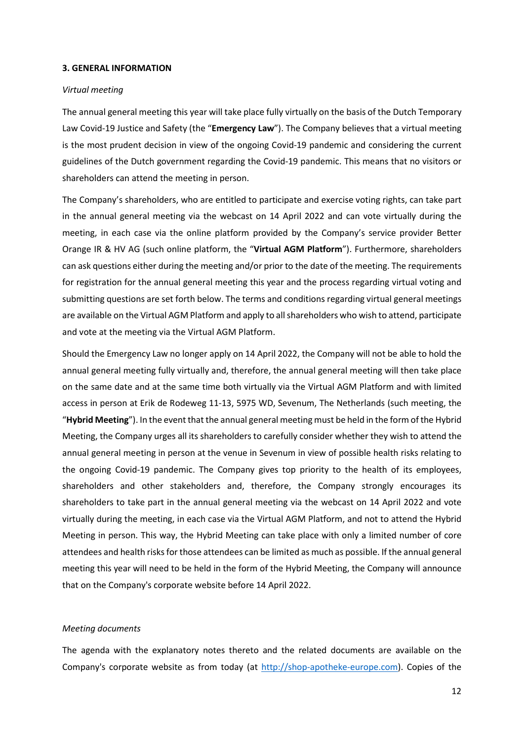#### 3. GENERAL INFORMATION

#### Virtual meeting

The annual general meeting this year will take place fully virtually on the basis of the Dutch Temporary Law Covid-19 Justice and Safety (the "Emergency Law"). The Company believes that a virtual meeting is the most prudent decision in view of the ongoing Covid-19 pandemic and considering the current guidelines of the Dutch government regarding the Covid-19 pandemic. This means that no visitors or shareholders can attend the meeting in person.

The Company's shareholders, who are entitled to participate and exercise voting rights, can take part in the annual general meeting via the webcast on 14 April 2022 and can vote virtually during the meeting, in each case via the online platform provided by the Company's service provider Better Orange IR & HV AG (such online platform, the "Virtual AGM Platform"). Furthermore, shareholders can ask questions either during the meeting and/or prior to the date of the meeting. The requirements for registration for the annual general meeting this year and the process regarding virtual voting and submitting questions are set forth below. The terms and conditions regarding virtual general meetings are available on the Virtual AGM Platform and apply to all shareholders who wish to attend, participate and vote at the meeting via the Virtual AGM Platform.

Should the Emergency Law no longer apply on 14 April 2022, the Company will not be able to hold the annual general meeting fully virtually and, therefore, the annual general meeting will then take place on the same date and at the same time both virtually via the Virtual AGM Platform and with limited access in person at Erik de Rodeweg 11-13, 5975 WD, Sevenum, The Netherlands (such meeting, the "Hybrid Meeting"). In the event that the annual general meeting must be held in the form of the Hybrid Meeting, the Company urges all its shareholders to carefully consider whether they wish to attend the annual general meeting in person at the venue in Sevenum in view of possible health risks relating to the ongoing Covid-19 pandemic. The Company gives top priority to the health of its employees, shareholders and other stakeholders and, therefore, the Company strongly encourages its shareholders to take part in the annual general meeting via the webcast on 14 April 2022 and vote virtually during the meeting, in each case via the Virtual AGM Platform, and not to attend the Hybrid Meeting in person. This way, the Hybrid Meeting can take place with only a limited number of core attendees and health risks for those attendees can be limited as much as possible. If the annual general meeting this year will need to be held in the form of the Hybrid Meeting, the Company will announce that on the Company's corporate website before 14 April 2022.

#### Meeting documents

The agenda with the explanatory notes thereto and the related documents are available on the Company's corporate website as from today (at http://shop-apotheke-europe.com). Copies of the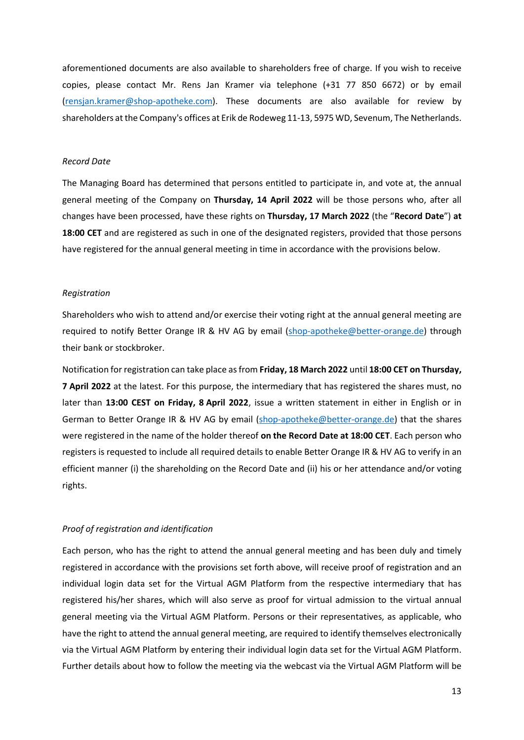aforementioned documents are also available to shareholders free of charge. If you wish to receive copies, please contact Mr. Rens Jan Kramer via telephone (+31 77 850 6672) or by email (rensjan.kramer@shop-apotheke.com). These documents are also available for review by shareholders at the Company's offices at Erik de Rodeweg 11-13, 5975 WD, Sevenum, The Netherlands.

#### Record Date

The Managing Board has determined that persons entitled to participate in, and vote at, the annual general meeting of the Company on Thursday, 14 April 2022 will be those persons who, after all changes have been processed, have these rights on Thursday, 17 March 2022 (the "Record Date") at 18:00 CET and are registered as such in one of the designated registers, provided that those persons have registered for the annual general meeting in time in accordance with the provisions below.

#### Registration

Shareholders who wish to attend and/or exercise their voting right at the annual general meeting are required to notify Better Orange IR & HV AG by email (shop-apotheke@better-orange.de) through their bank or stockbroker.

Notification for registration can take place as from Friday, 18 March 2022 until 18:00 CET on Thursday, 7 April 2022 at the latest. For this purpose, the intermediary that has registered the shares must, no later than 13:00 CEST on Friday, 8 April 2022, issue a written statement in either in English or in German to Better Orange IR & HV AG by email (shop-apotheke@better-orange.de) that the shares were registered in the name of the holder thereof on the Record Date at 18:00 CET. Each person who registers is requested to include all required details to enable Better Orange IR & HV AG to verify in an efficient manner (i) the shareholding on the Record Date and (ii) his or her attendance and/or voting rights.

### Proof of registration and identification

Each person, who has the right to attend the annual general meeting and has been duly and timely registered in accordance with the provisions set forth above, will receive proof of registration and an individual login data set for the Virtual AGM Platform from the respective intermediary that has registered his/her shares, which will also serve as proof for virtual admission to the virtual annual general meeting via the Virtual AGM Platform. Persons or their representatives, as applicable, who have the right to attend the annual general meeting, are required to identify themselves electronically via the Virtual AGM Platform by entering their individual login data set for the Virtual AGM Platform. Further details about how to follow the meeting via the webcast via the Virtual AGM Platform will be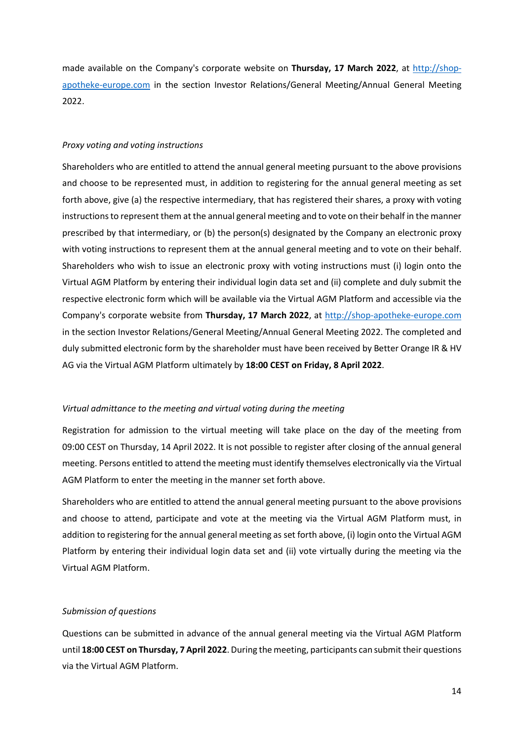made available on the Company's corporate website on Thursday, 17 March 2022, at http://shopapotheke-europe.com in the section Investor Relations/General Meeting/Annual General Meeting 2022.

#### Proxy voting and voting instructions

Shareholders who are entitled to attend the annual general meeting pursuant to the above provisions and choose to be represented must, in addition to registering for the annual general meeting as set forth above, give (a) the respective intermediary, that has registered their shares, a proxy with voting instructions to represent them at the annual general meeting and to vote on their behalf in the manner prescribed by that intermediary, or (b) the person(s) designated by the Company an electronic proxy with voting instructions to represent them at the annual general meeting and to vote on their behalf. Shareholders who wish to issue an electronic proxy with voting instructions must (i) login onto the Virtual AGM Platform by entering their individual login data set and (ii) complete and duly submit the respective electronic form which will be available via the Virtual AGM Platform and accessible via the Company's corporate website from Thursday, 17 March 2022, at http://shop-apotheke-europe.com in the section Investor Relations/General Meeting/Annual General Meeting 2022. The completed and duly submitted electronic form by the shareholder must have been received by Better Orange IR & HV AG via the Virtual AGM Platform ultimately by 18:00 CEST on Friday, 8 April 2022.

#### Virtual admittance to the meeting and virtual voting during the meeting

Registration for admission to the virtual meeting will take place on the day of the meeting from 09:00 CEST on Thursday, 14 April 2022. It is not possible to register after closing of the annual general meeting. Persons entitled to attend the meeting must identify themselves electronically via the Virtual AGM Platform to enter the meeting in the manner set forth above.

Shareholders who are entitled to attend the annual general meeting pursuant to the above provisions and choose to attend, participate and vote at the meeting via the Virtual AGM Platform must, in addition to registering for the annual general meeting as set forth above, (i) login onto the Virtual AGM Platform by entering their individual login data set and (ii) vote virtually during the meeting via the Virtual AGM Platform.

### Submission of questions

Questions can be submitted in advance of the annual general meeting via the Virtual AGM Platform until 18:00 CEST on Thursday, 7 April 2022. During the meeting, participants can submit their questions via the Virtual AGM Platform.